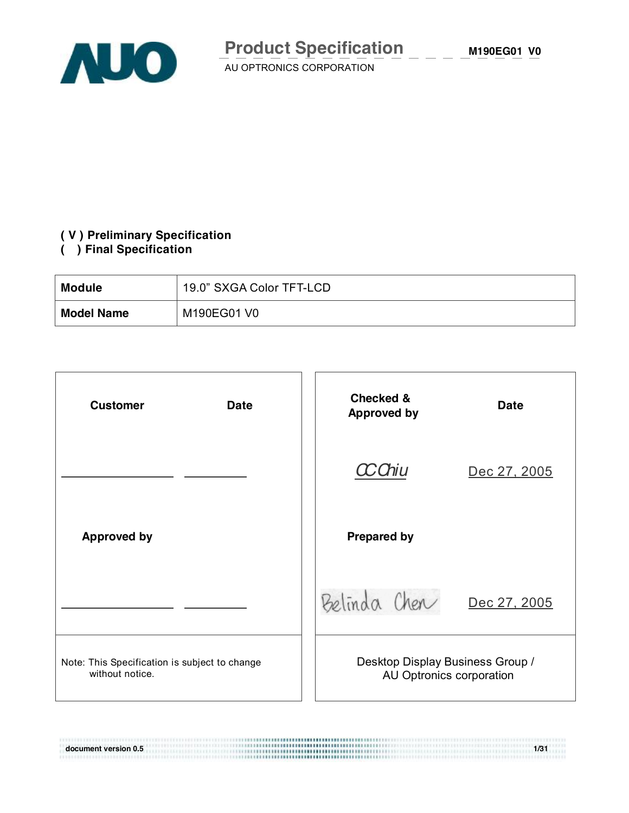

 $\overline{\phantom{a}}$   $\overline{\phantom{a}}$   $\overline{\phantom{a}}$   $\overline{\phantom{a}}$   $\overline{\phantom{a}}$   $\overline{\phantom{a}}$   $\overline{\phantom{a}}$   $\overline{\phantom{a}}$   $\overline{\phantom{a}}$   $\overline{\phantom{a}}$   $\overline{\phantom{a}}$   $\overline{\phantom{a}}$   $\overline{\phantom{a}}$   $\overline{\phantom{a}}$   $\overline{\phantom{a}}$   $\overline{\phantom{a}}$   $\overline{\phantom{a}}$   $\overline{\phantom{a}}$   $\overline{\$ 

### **( V ) Preliminary Specification**

## **( ) Final Specification**

| <b>Module</b>     | 19.0" SXGA Color TFT-LCD |
|-------------------|--------------------------|
| <b>Model Name</b> | M190EG01 V0              |

| <b>Customer</b><br><b>Date</b>                                   | <b>Checked &amp;</b><br><b>Approved by</b>                   | <b>Date</b>  |
|------------------------------------------------------------------|--------------------------------------------------------------|--------------|
|                                                                  | 'Chiu                                                        | Dec 27, 2005 |
| <b>Approved by</b>                                               | <b>Prepared by</b>                                           |              |
|                                                                  | Belinda Cher                                                 | Dec 27, 2005 |
| Note: This Specification is subject to change<br>without notice. | Desktop Display Business Group /<br>AU Optronics corporation |              |

**document version 0.5** 1/31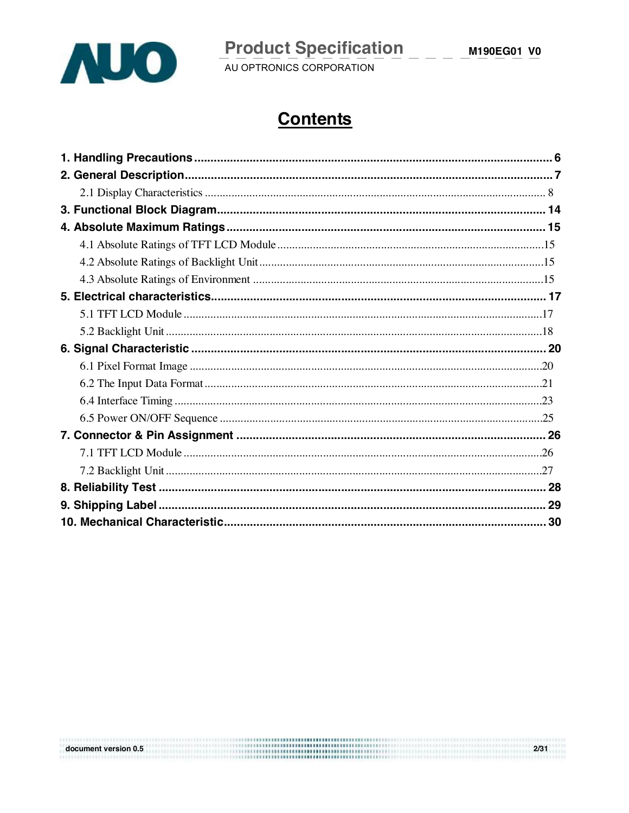

document version 0.5

# **Product Specification** \_ \_ \_

 $2/31$ an unit

# **Contents**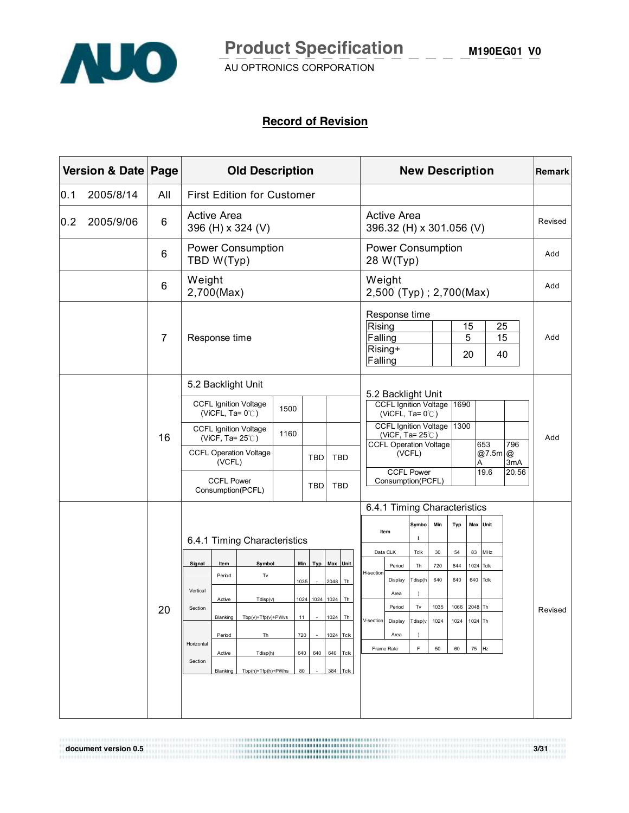

**M190EG01 V0**

AU OPTRONICS CORPORATION

#### **Record of Revision**

|     | Version & Date Page<br><b>Old Description</b> |                |                                                                                                                                                                                                                                                                                                                                                                                                                                                                                                   | <b>New Description</b>            |                                                                                      |                                                                                                              |                                                                                                                                                                                                                                                                                                                            |                                                                                                                                     | Remark                                        |                                                       |                                                                |                                                     |                     |                |
|-----|-----------------------------------------------|----------------|---------------------------------------------------------------------------------------------------------------------------------------------------------------------------------------------------------------------------------------------------------------------------------------------------------------------------------------------------------------------------------------------------------------------------------------------------------------------------------------------------|-----------------------------------|--------------------------------------------------------------------------------------|--------------------------------------------------------------------------------------------------------------|----------------------------------------------------------------------------------------------------------------------------------------------------------------------------------------------------------------------------------------------------------------------------------------------------------------------------|-------------------------------------------------------------------------------------------------------------------------------------|-----------------------------------------------|-------------------------------------------------------|----------------------------------------------------------------|-----------------------------------------------------|---------------------|----------------|
| 0.1 | 2005/8/14                                     | All            |                                                                                                                                                                                                                                                                                                                                                                                                                                                                                                   | <b>First Edition for Customer</b> |                                                                                      |                                                                                                              |                                                                                                                                                                                                                                                                                                                            |                                                                                                                                     |                                               |                                                       |                                                                |                                                     |                     |                |
| 0.2 | 2005/9/06                                     | 6              | <b>Active Area</b><br>396 (H) x 324 (V)                                                                                                                                                                                                                                                                                                                                                                                                                                                           |                                   |                                                                                      |                                                                                                              |                                                                                                                                                                                                                                                                                                                            | <b>Active Area</b><br>396.32 (H) x 301.056 (V)                                                                                      |                                               |                                                       |                                                                |                                                     | Revised             |                |
|     |                                               | 6              | TBD W(Typ)                                                                                                                                                                                                                                                                                                                                                                                                                                                                                        | Power Consumption                 |                                                                                      |                                                                                                              | <b>Power Consumption</b><br>28 W(Typ)                                                                                                                                                                                                                                                                                      |                                                                                                                                     |                                               |                                                       |                                                                |                                                     |                     | Add            |
|     |                                               | 6              | Weight<br>2,700(Max)                                                                                                                                                                                                                                                                                                                                                                                                                                                                              |                                   |                                                                                      |                                                                                                              | Weight<br>2,500 (Typ); 2,700(Max)                                                                                                                                                                                                                                                                                          |                                                                                                                                     |                                               |                                                       |                                                                |                                                     |                     | Add            |
|     |                                               | $\overline{7}$ | Response time                                                                                                                                                                                                                                                                                                                                                                                                                                                                                     |                                   |                                                                                      | Response time<br>Rising<br>Falling<br>Rising+<br>Falling                                                     |                                                                                                                                                                                                                                                                                                                            |                                                                                                                                     |                                               | 15<br>5<br>20                                         | 25<br>15<br>40                                                 |                                                     | Add                 |                |
|     |                                               | 16<br>20       | 5.2 Backlight Unit<br><b>CCFL Ignition Voltage</b><br>(ViCFL, Ta= $0^{\circ}$ C)<br><b>CCFL Ignition Voltage</b><br>(ViCF, Ta= $25^{\circ}$ C)<br><b>CCFL Operation Voltage</b><br>(VCFL)<br><b>CCFL Power</b><br>Consumption(PCFL)<br>6.4.1 Timing Characteristics<br>Signal<br>Item<br>Symbol<br>Period<br>Tv<br>Vertical<br>Active<br>Tdisp(v)<br>Section<br>Blanking  <br>Tbp(v)+Tfp(v)+PWvs<br>Period<br>Th<br>Horizontal<br>Active<br>Tdisp(h)<br>Section<br>Blanking<br>Tbp(h)+Tfp(h)+PWhs | 1500<br>1160                      | TBD<br><b>TBD</b><br>Min<br>1035<br>1024 1024 1024<br>-11<br>720<br>640<br>640<br>80 | <b>TBD</b><br><b>TBD</b><br>Typ Max Unit<br>2048 Th<br>Th<br>1024 Th<br>1024 Tclk<br>640 Tclk<br>384<br>Tclk | 5.2 Backlight Unit<br><b>CCFL Ignition Voltage</b><br>(ViCFL, Ta= $0^{\circ}$ C)<br>CCFL Ignition Voltage 1300<br><b>CCFL Operation Voltage</b><br>Consumption(PCFL)<br>6.4.1 Timing Characteristics<br>Item<br>Data CLK<br>Period<br>H-section<br>Display<br>Area<br>Period<br>V-section<br>Display<br>Area<br>Frame Rate | (ViCF, Ta= $25^{\circ}$ C)<br>(VCFL)<br><b>CCFL Power</b><br>Symbo<br>1<br>Tclk<br>Th<br>Tdisp(h<br>$\lambda$<br>Tv<br>Tdisp(v<br>F | Min<br>30<br>720<br>640<br>1035<br>1024<br>50 | 1690<br>Typ<br>54<br>844<br>640<br>1066<br>1024<br>60 | Α<br>Max Unit<br>83<br>1024<br>640<br>2048 Th<br>1024 Th<br>75 | 653<br>@7.5m @<br>19.6<br>MHz<br>Tclk<br>Tclk<br>Hz | 796<br>3mA<br>20.56 | Add<br>Revised |
|     |                                               |                |                                                                                                                                                                                                                                                                                                                                                                                                                                                                                                   |                                   |                                                                                      |                                                                                                              |                                                                                                                                                                                                                                                                                                                            |                                                                                                                                     |                                               |                                                       |                                                                |                                                     |                     |                |

**document version 0.5 3/31**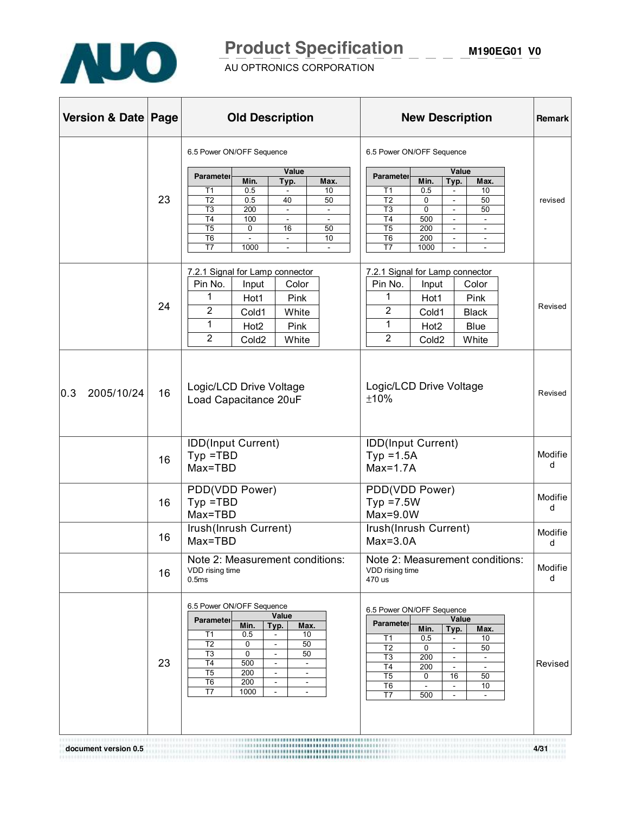

# **Product Specification M190EG01 V0**

AU OPTRONICS CORPORATION

| Version & Date   Page |    | <b>Old Description</b>                                                                                                                                                                                                                                                                                                                                                                                                        | <b>New Description</b>                                                                                                                                                                                                                                                                                                                                                                                                                                                             | <b>Remark</b> |
|-----------------------|----|-------------------------------------------------------------------------------------------------------------------------------------------------------------------------------------------------------------------------------------------------------------------------------------------------------------------------------------------------------------------------------------------------------------------------------|------------------------------------------------------------------------------------------------------------------------------------------------------------------------------------------------------------------------------------------------------------------------------------------------------------------------------------------------------------------------------------------------------------------------------------------------------------------------------------|---------------|
|                       | 23 | 6.5 Power ON/OFF Sequence<br>Value<br>Parameter<br>Min.<br>Max.<br>Typ.<br>0.5<br>10<br>T1<br>T <sub>2</sub><br>0.5<br>50<br>40<br>T <sub>3</sub><br>200<br>$\blacksquare$<br>T <sub>4</sub><br>100<br>$\overline{\phantom{a}}$<br>$\overline{\phantom{a}}$<br>$\overline{15}$<br>0<br>16<br>50<br>T <sub>6</sub><br>10<br>$\blacksquare$<br>$\overline{\phantom{a}}$<br>T7<br>1000                                           | 6.5 Power ON/OFF Sequence<br>Value<br><b>Parameter</b><br>Min.<br>Typ.<br>Max.<br>T1<br>0.5<br>10<br>$\overline{\phantom{a}}$<br>T <sub>2</sub><br>50<br>0<br>$\blacksquare$<br>T <sub>3</sub><br>$\mathbf 0$<br>50<br>$\blacksquare$<br>T <sub>4</sub><br>500<br>$\blacksquare$<br>$\blacksquare$<br>200<br>T <sub>5</sub><br>$\sim$<br>$\overline{\phantom{a}}$<br>T <sub>6</sub><br>200<br>$\blacksquare$<br>$\overline{\phantom{a}}$<br>T7<br>1000<br>$\overline{\phantom{a}}$ | revised       |
|                       | 24 | 7.2.1 Signal for Lamp connector<br>Pin No.<br>Color<br>Input<br>1<br>Pink<br>Hot1<br>2<br>White<br>Cold1<br>1<br>Pink<br>Hot <sub>2</sub><br>$\overline{2}$<br>Cold <sub>2</sub><br>White                                                                                                                                                                                                                                     | 7.2.1 Signal for Lamp connector<br>Pin No.<br>Color<br>Input<br>1<br>Hot1<br>Pink<br>2<br>Cold1<br><b>Black</b><br>1<br><b>Blue</b><br>Hot <sub>2</sub><br>$\overline{2}$<br>Cold <sub>2</sub><br>White                                                                                                                                                                                                                                                                            | Revised       |
| 2005/10/24<br> 0.3    | 16 | Logic/LCD Drive Voltage<br>Load Capacitance 20uF                                                                                                                                                                                                                                                                                                                                                                              | Logic/LCD Drive Voltage<br>±10%                                                                                                                                                                                                                                                                                                                                                                                                                                                    | Revised       |
|                       | 16 | IDD(Input Current)<br>$Type = TBD$<br>Max=TBD                                                                                                                                                                                                                                                                                                                                                                                 | IDD(Input Current)<br>$Typ = 1.5A$<br>$Max=1.7A$                                                                                                                                                                                                                                                                                                                                                                                                                                   | Modifie<br>d  |
|                       | 16 | PDD(VDD Power)<br>$Typ = TBD$<br>Max=TBD                                                                                                                                                                                                                                                                                                                                                                                      | PDD(VDD Power)<br>$Typ = 7.5W$<br>$Max=9.0W$                                                                                                                                                                                                                                                                                                                                                                                                                                       | Modifie<br>d  |
|                       | 16 | Irush(Inrush Current)<br>Max=TBD                                                                                                                                                                                                                                                                                                                                                                                              | Irush(Inrush Current)<br>$Max=3.0A$                                                                                                                                                                                                                                                                                                                                                                                                                                                | Modifie<br>d  |
|                       | 16 | Note 2: Measurement conditions:<br>VDD rising time<br>0.5ms                                                                                                                                                                                                                                                                                                                                                                   | Note 2: Measurement conditions:<br>VDD rising time<br>470 us                                                                                                                                                                                                                                                                                                                                                                                                                       | Modifie<br>d  |
|                       | 23 | 6.5 Power ON/OFF Sequence<br>Value<br>Parameter<br>Min.<br>Typ.<br>Max.<br>0.5<br>10<br>T1<br>50<br>T <sub>2</sub><br>0<br>T <sub>3</sub><br>0<br>50<br>$\blacksquare$<br>T <sub>4</sub><br>500<br>$\blacksquare$<br>$\blacksquare$<br>T <sub>5</sub><br>200<br>$\overline{\phantom{a}}$<br>$\overline{\phantom{a}}$<br>T <sub>6</sub><br>200<br>$\blacksquare$<br>$\sim$<br>T7<br>1000<br>$\overline{\phantom{a}}$<br>$\sim$ | 6.5 Power ON/OFF Sequence<br>Value<br><b>Parameter</b><br>Min.<br>Typ.<br>Max.<br>Τ1<br>0.5<br>10<br>T <sub>2</sub><br>0<br>50<br>T <sub>3</sub><br>200<br>$\blacksquare$<br>$\blacksquare$<br>T4<br>200<br>$\overline{\phantom{a}}$<br>$\sim$<br>T5<br>$\mathbf 0$<br>50<br>16<br>T <sub>6</sub><br>10<br>$\overline{\phantom{a}}$<br>$\overline{\phantom{a}}$<br>T7<br>500                                                                                                       | Revised       |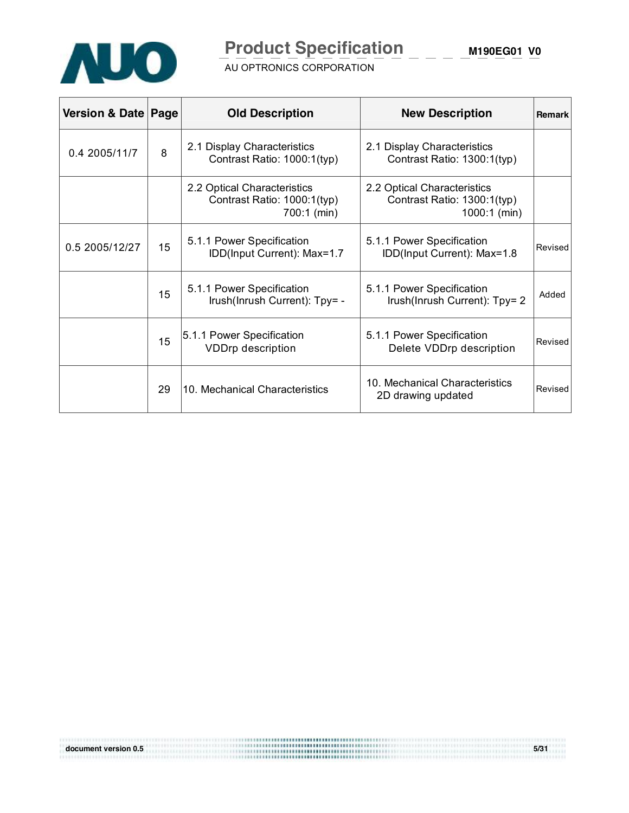

# **Product Specification**

**M190EG01 V0**

AU OPTRONICS CORPORATION

| Version & Date   Page |    | <b>Old Description</b>                                                    | <b>New Description</b>                                                     | <b>Remark</b> |
|-----------------------|----|---------------------------------------------------------------------------|----------------------------------------------------------------------------|---------------|
| 0.4 2005/11/7         | 8  | 2.1 Display Characteristics<br>Contrast Ratio: 1000:1(typ)                | 2.1 Display Characteristics<br>Contrast Ratio: 1300:1(typ)                 |               |
|                       |    | 2.2 Optical Characteristics<br>Contrast Ratio: 1000:1(typ)<br>700:1 (min) | 2.2 Optical Characteristics<br>Contrast Ratio: 1300:1(typ)<br>1000:1 (min) |               |
| 0.5 2005/12/27        | 15 | 5.1.1 Power Specification<br>IDD(Input Current): Max=1.7                  | 5.1.1 Power Specification<br>IDD(Input Current): Max=1.8                   | Revised       |
|                       | 15 | 5.1.1 Power Specification<br>Irush(Inrush Current): Tpy= -                | 5.1.1 Power Specification<br>Irush(Inrush Current): Tpy= 2                 | Added         |
|                       | 15 | 5.1.1 Power Specification<br><b>VDDrp description</b>                     | 5.1.1 Power Specification<br>Delete VDDrp description                      | Revised       |
|                       | 29 | 10. Mechanical Characteristics                                            | 10. Mechanical Characteristics<br>2D drawing updated                       | Revised       |

**document version 0.5 5/31**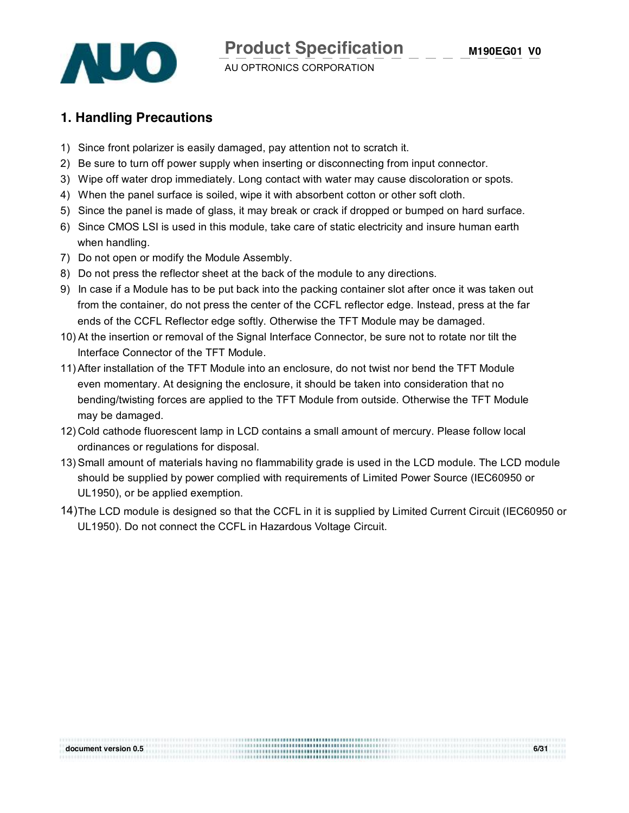

#### **1. Handling Precautions**

- 1) Since front polarizer is easily damaged, pay attention not to scratch it.
- 2) Be sure to turn off power supply when inserting or disconnecting from input connector.
- 3) Wipe off water drop immediately. Long contact with water may cause discoloration or spots.
- 4) When the panel surface is soiled, wipe it with absorbent cotton or other soft cloth.
- 5) Since the panel is made of glass, it may break or crack if dropped or bumped on hard surface.
- 6) Since CMOS LSI is used in this module, take care of static electricity and insure human earth when handling.
- 7) Do not open or modify the Module Assembly.
- 8) Do not press the reflector sheet at the back of the module to any directions.
- 9) In case if a Module has to be put back into the packing container slot after once it was taken out from the container, do not press the center of the CCFL reflector edge. Instead, press at the far ends of the CCFL Reflector edge softly. Otherwise the TFT Module may be damaged.
- 10) At the insertion or removal of the Signal Interface Connector, be sure not to rotate nor tilt the Interface Connector of the TFT Module.
- 11)After installation of the TFT Module into an enclosure, do not twist nor bend the TFT Module even momentary. At designing the enclosure, it should be taken into consideration that no bending/twisting forces are applied to the TFT Module from outside. Otherwise the TFT Module may be damaged.
- 12) Cold cathode fluorescent lamp in LCD contains a small amount of mercury. Please follow local ordinances or regulations for disposal.
- 13) Small amount of materials having no flammability grade is used in the LCD module. The LCD module should be supplied by power complied with requirements of Limited Power Source (IEC60950 or UL1950), or be applied exemption.
- 14) The LCD module is designed so that the CCFL in it is supplied by Limited Current Circuit (IEC60950 or UL1950). Do not connect the CCFL in Hazardous Voltage Circuit.

| document version 0.5 | 6/31 |
|----------------------|------|
|                      |      |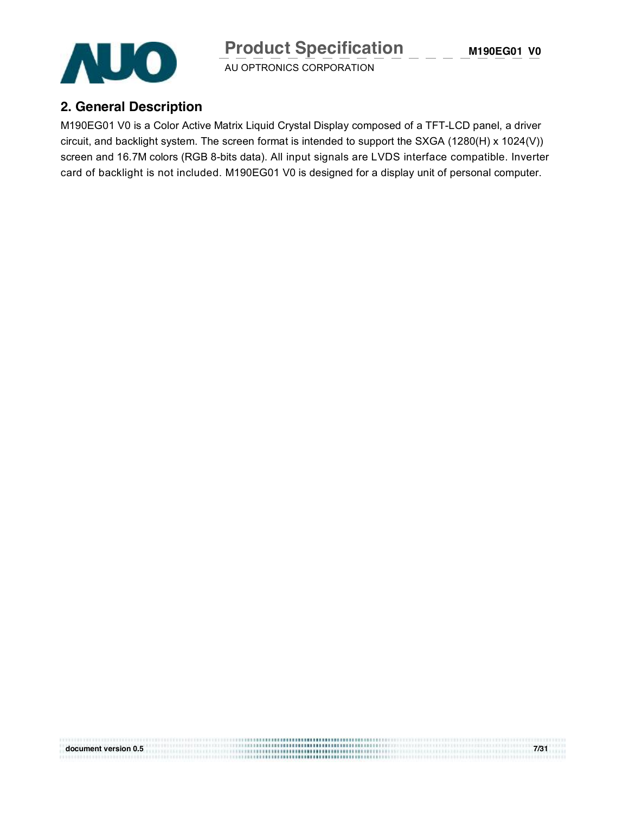**M190EG01 V0**



AU OPTRONICS CORPORATION

#### **2. General Description**

M190EG01 V0 is a Color Active Matrix Liquid Crystal Display composed of a TFT-LCD panel, a driver circuit, and backlight system. The screen format is intended to support the SXGA (1280(H) x 1024(V)) screen and 16.7M colors (RGB 8-bits data). All input signals are LVDS interface compatible. Inverter card of backlight is not included. M190EG01 V0 is designed for a display unit of personal computer.

**document version 0.5 7/31**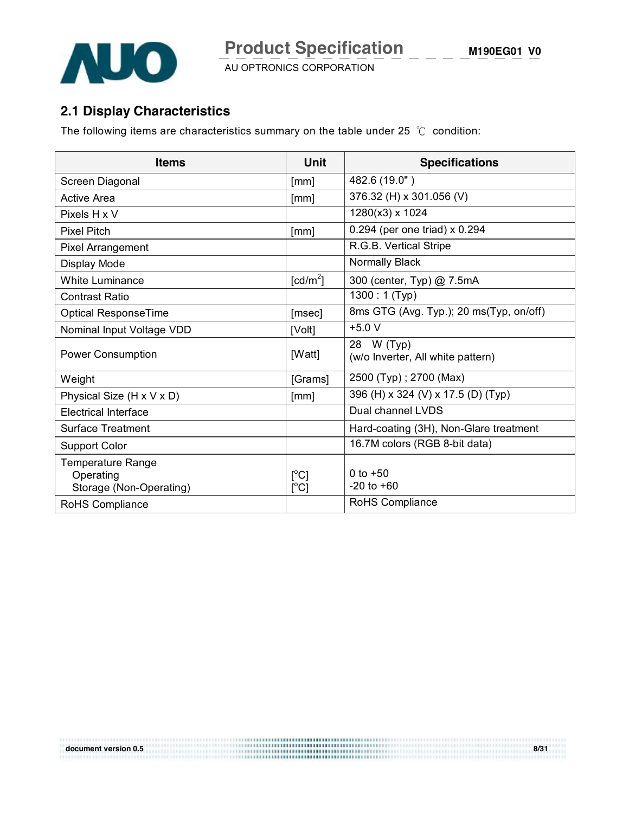

## **2.1 Display Characteristics**

The following items are characteristics summary on the table under 25 ℃ condition:

| <b>Items</b>                                              | <b>Unit</b>                       | <b>Specifications</b>                           |
|-----------------------------------------------------------|-----------------------------------|-------------------------------------------------|
| Screen Diagonal                                           | [mm]                              | 482.6 (19.0")                                   |
| <b>Active Area</b>                                        | [mm]                              | 376.32 (H) x 301.056 (V)                        |
| Pixels H x V                                              |                                   | 1280(x3) x 1024                                 |
| <b>Pixel Pitch</b>                                        | [mm]                              | 0.294 (per one triad) x 0.294                   |
| Pixel Arrangement                                         |                                   | R.G.B. Vertical Stripe                          |
| Display Mode                                              |                                   | Normally Black                                  |
| <b>White Luminance</b>                                    | [cd/m <sup>2</sup> ]              | 300 (center, Typ) @ 7.5mA                       |
| Contrast Ratio                                            |                                   | $1300:1$ (Typ)                                  |
| <b>Optical ResponseTime</b>                               | [msec]                            | 8ms GTG (Avg. Typ.); 20 ms(Typ, on/off)         |
| Nominal Input Voltage VDD                                 | [Volt]                            | $+5.0V$                                         |
| <b>Power Consumption</b>                                  | [Watt]                            | 28 W (Typ)<br>(w/o Inverter, All white pattern) |
| Weight                                                    | [Grams]                           | 2500 (Typ); 2700 (Max)                          |
| Physical Size (H x V x D)                                 | [mm]                              | 396 (H) x 324 (V) x 17.5 (D) (Typ)              |
| <b>Electrical Interface</b>                               |                                   | Dual channel LVDS                               |
| Surface Treatment                                         |                                   | Hard-coating (3H), Non-Glare treatment          |
| <b>Support Color</b>                                      |                                   | 16.7M colors (RGB 8-bit data)                   |
| Temperature Range<br>Operating<br>Storage (Non-Operating) | $\lceil{^{\circ}C}\rceil$<br>[°C] | 0 to $+50$<br>$-20$ to $+60$                    |
| RoHS Compliance                                           |                                   | RoHS Compliance                                 |

**document version 0.5 8/31**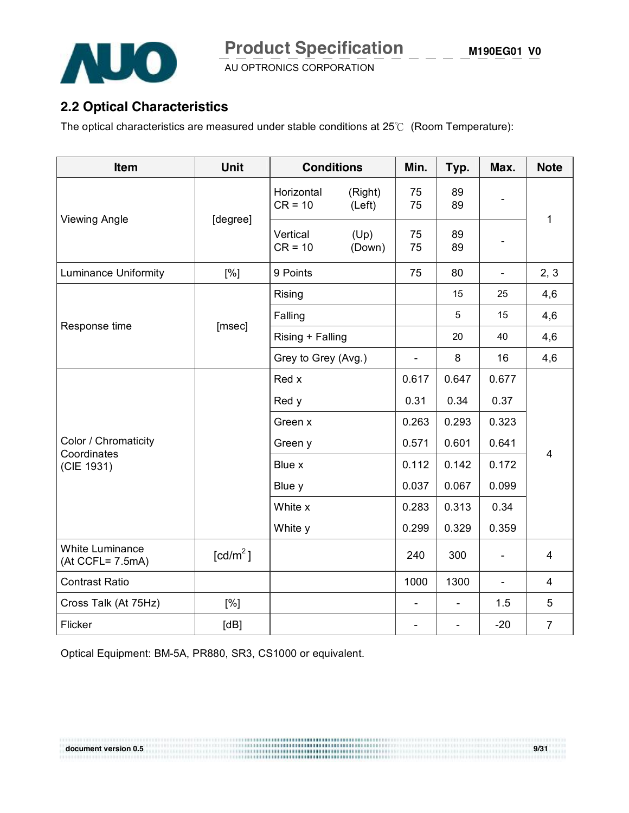

#### **2.2 Optical Characteristics**

The optical characteristics are measured under stable conditions at 25℃ (Room Temperature):

| Item                                   | <b>Unit</b>          | <b>Conditions</b>       | Min.              | Typ.                     | Max.                     | <b>Note</b>              |                |
|----------------------------------------|----------------------|-------------------------|-------------------|--------------------------|--------------------------|--------------------------|----------------|
| <b>Viewing Angle</b>                   |                      | Horizontal<br>$CR = 10$ | (Right)<br>(Left) | 75<br>75                 | 89<br>89                 |                          |                |
|                                        | [degree]             | Vertical<br>$CR = 10$   | (Up)<br>(Down)    | 75<br>75                 | 89<br>89                 |                          | 1              |
| <b>Luminance Uniformity</b>            | [%]                  | 9 Points                |                   | 75                       | 80                       | $\overline{\phantom{a}}$ | 2, 3           |
|                                        |                      | Rising                  |                   |                          | 15                       | 25                       | 4,6            |
| Response time                          | [msec]               | Falling                 |                   |                          | 5                        | 15                       | 4,6            |
|                                        |                      | Rising + Falling        |                   |                          | 20                       | 40                       | 4,6            |
|                                        |                      | Grey to Grey (Avg.)     |                   | $\overline{\phantom{0}}$ | 8                        | 16                       | 4,6            |
|                                        |                      | Red x                   | 0.617             | 0.647                    | 0.677                    |                          |                |
|                                        |                      | Red y                   | 0.31              | 0.34                     | 0.37                     | $\overline{\mathbf{4}}$  |                |
|                                        |                      | Green x                 |                   | 0.263                    | 0.293                    |                          | 0.323          |
| Color / Chromaticity<br>Coordinates    |                      | Green y                 |                   | 0.571                    | 0.601                    |                          | 0.641          |
| (CIE 1931)                             |                      | Blue x                  |                   | 0.112                    | 0.142                    |                          | 0.172          |
|                                        |                      | Blue y                  |                   | 0.037                    | 0.067                    | 0.099                    |                |
|                                        |                      | White x                 |                   | 0.283                    | 0.313                    | 0.34                     |                |
|                                        |                      | White y                 |                   | 0.299                    | 0.329                    | 0.359                    |                |
| White Luminance<br>$(At CCFL = 7.5mA)$ | [cd/m <sup>2</sup> ] |                         |                   | 240                      | 300                      | $\overline{\phantom{a}}$ | 4              |
| <b>Contrast Ratio</b>                  |                      |                         |                   | 1000                     | 1300                     | $\blacksquare$           | 4              |
| Cross Talk (At 75Hz)                   | [%]                  |                         |                   | $\overline{\phantom{a}}$ | $\overline{\phantom{a}}$ | 1.5                      | 5              |
| Flicker                                | [dB]                 |                         |                   |                          |                          | $-20$                    | $\overline{7}$ |

**document version 0.5** 9/31

Optical Equipment: BM-5A, PR880, SR3, CS1000 or equivalent.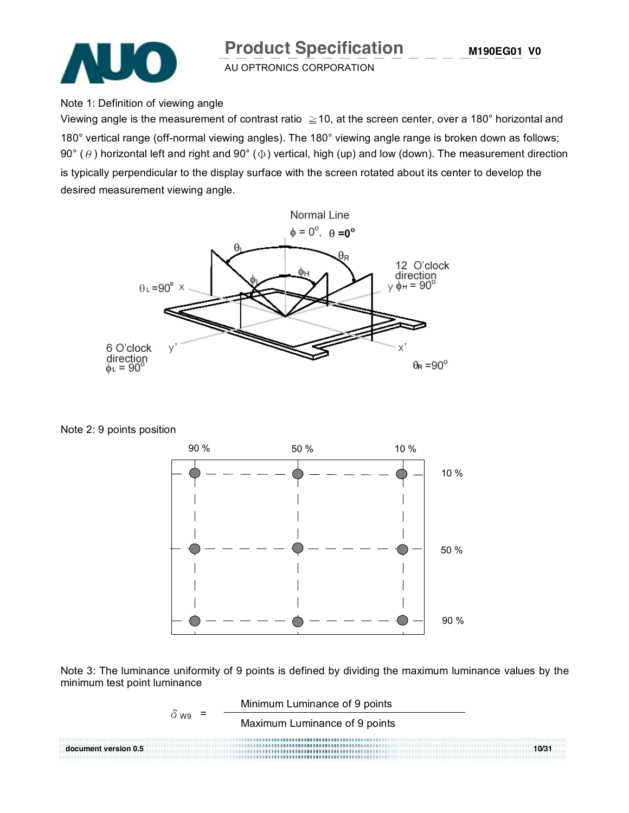

#### Note 1: Definition of viewing angle

Viewing angle is the measurement of contrast ratio  $\geq$  10, at the screen center, over a 180° horizontal and 180° vertical range (off-normal viewing angles). The 180° viewing angle range is broken down as follows; 90° ( $\theta$ ) horizontal left and right and 90° ( $\Phi$ ) vertical, high (up) and low (down). The measurement direction is typically perpendicular to the display surface with the screen rotated about its center to develop the desired measurement viewing angle.



Note 2: 9 points position



Note 3: The luminance uniformity of 9 points is defined by dividing the maximum luminance values by the minimum test point luminance

 Minimum Luminance of 9 points  $\delta_{W9}$  =  $\frac{1}{2}$  Maximum Luminance of 9 points **document version 0.5 10/31**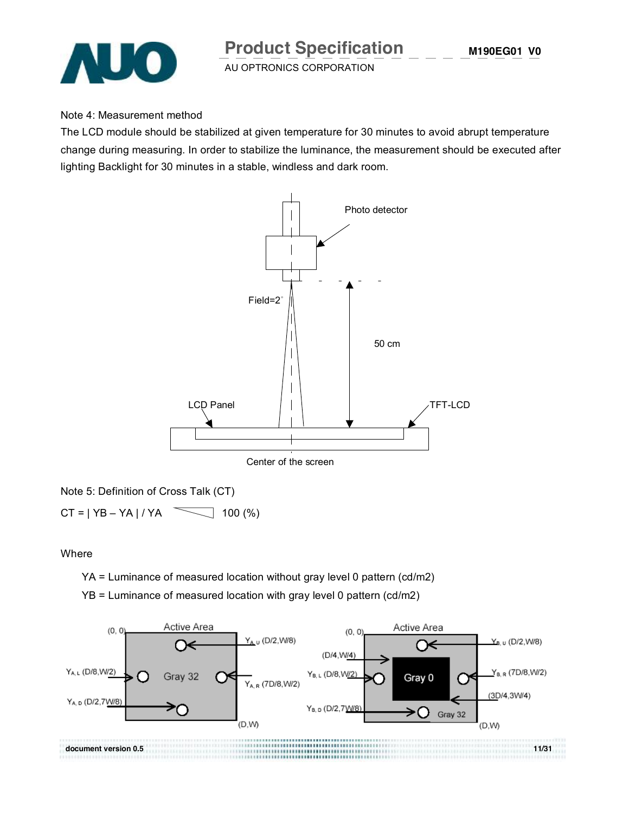

Note 4: Measurement method

The LCD module should be stabilized at given temperature for 30 minutes to avoid abrupt temperature change during measuring. In order to stabilize the luminance, the measurement should be executed after lighting Backlight for 30 minutes in a stable, windless and dark room.



Note 5: Definition of Cross Talk (CT)

 $CT = | YB - YA | / YA$  100 (%)

**Where** 

YA = Luminance of measured location without gray level 0 pattern (cd/m2)

YB = Luminance of measured location with gray level 0 pattern (cd/m2)

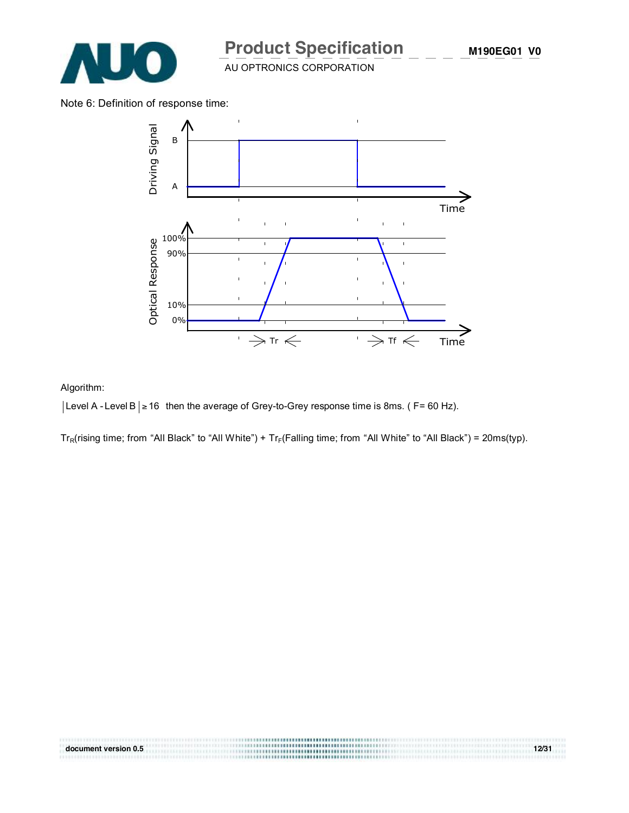

Note 6: Definition of response time:



#### Algorithm:

| Level A - Level B | ≥ 16 then the average of Grey-to-Grey response time is 8ms. ( F= 60 Hz).

 $Tr_R(rising time; from "All Black" to "All White") + Tr_F(Falling time; from "All White" to "All Black") = 20ms(typ).$ 

**document version 0.5 12/31**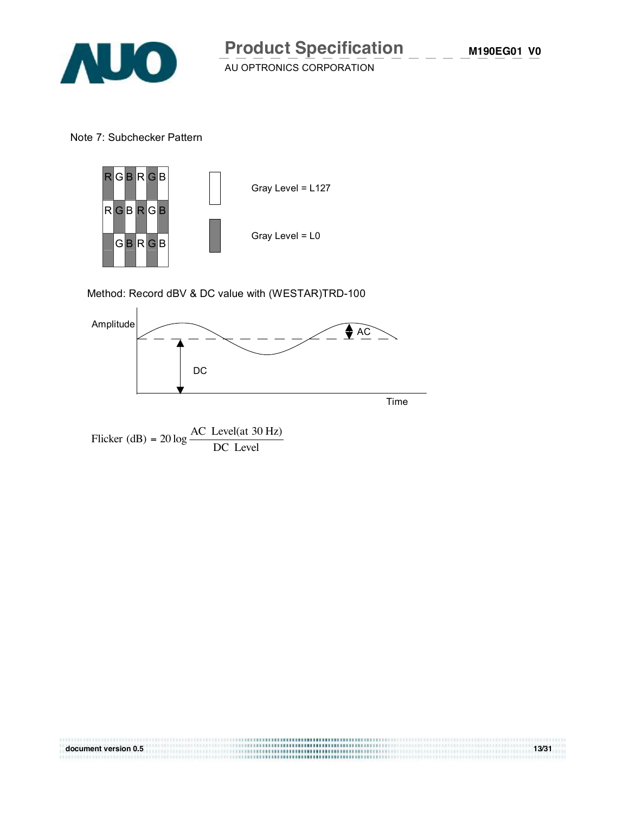

Note 7: Subchecker Pattern



Method: Record dBV & DC value with (WESTAR)TRD-100



**document version 0.5 13/31**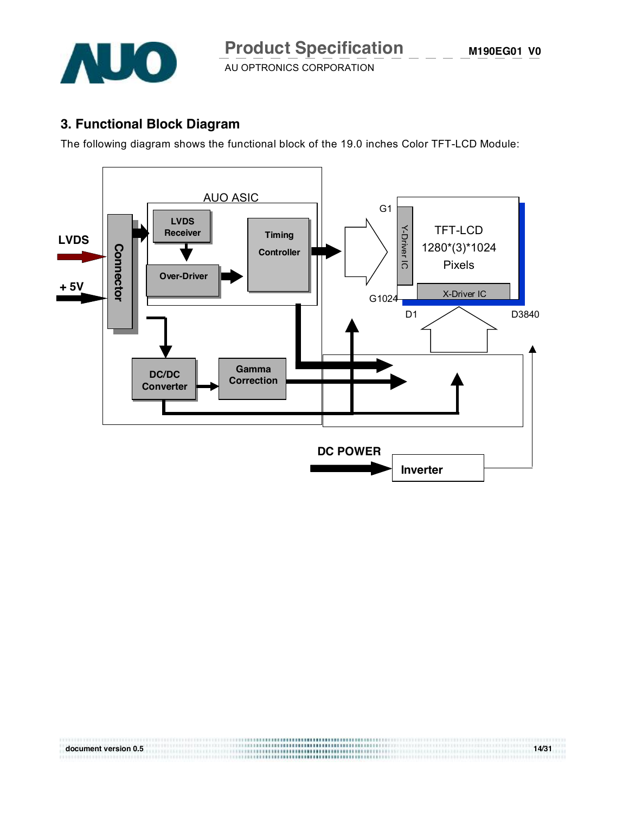

**M190EG01 V0**

AU OPTRONICS CORPORATION

## **3. Functional Block Diagram**

The following diagram shows the functional block of the 19.0 inches Color TFT-LCD Module:



**document version 0.5 14/31**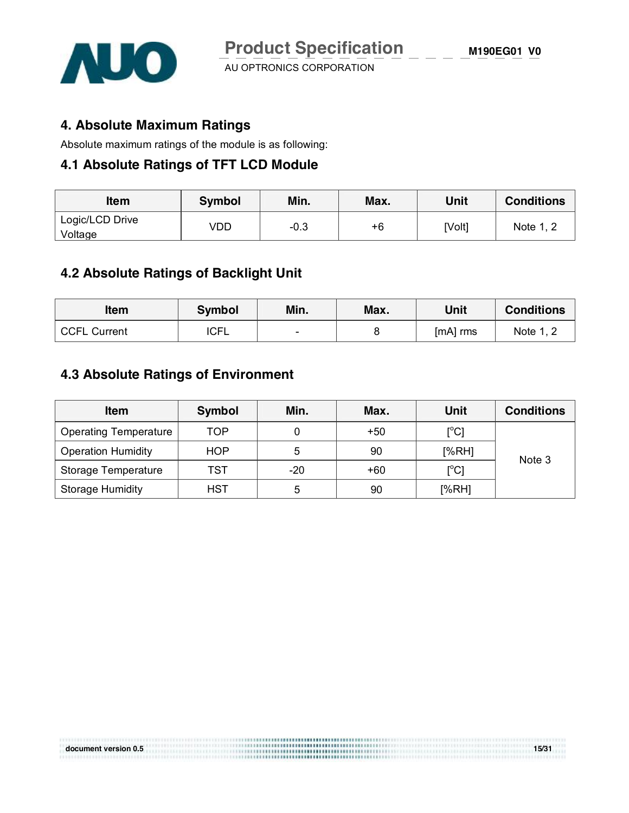

#### **4. Absolute Maximum Ratings**

Absolute maximum ratings of the module is as following:

#### **4.1 Absolute Ratings of TFT LCD Module**

| <b>Item</b>     | <b>Symbol</b> | Min.   | Max. | Unit   | <b>Conditions</b> |  |
|-----------------|---------------|--------|------|--------|-------------------|--|
| Logic/LCD Drive | VDD           | $-0.3$ | $+6$ | [Volt] | Note 1, 2         |  |
| Voltage         |               |        |      |        |                   |  |

#### **4.2 Absolute Ratings of Backlight Unit**

| ltem         | <b>Symbol</b> | Min.   | Max. | Unit     | <b>Conditions</b> |
|--------------|---------------|--------|------|----------|-------------------|
| CCFL Current | <b>ICFL</b>   | $\sim$ |      | [mA] rms | Note 1, 2         |

### **4.3 Absolute Ratings of Environment**

| <b>Item</b>                  | Symbol     | Min.  | Max.  | Unit                            | <b>Conditions</b> |
|------------------------------|------------|-------|-------|---------------------------------|-------------------|
| <b>Operating Temperature</b> | TOP        |       | $+50$ | $[^{\circ}C]$                   |                   |
| <b>Operation Humidity</b>    | <b>HOP</b> | 5     | 90    | [%RH]                           | Note 3            |
| Storage Temperature          | TST        | $-20$ | $+60$ | $\mathop{\rm l}{\rm ^\circ C1}$ |                   |
| <b>Storage Humidity</b>      | <b>HST</b> | 5     | 90    | [%RH]                           |                   |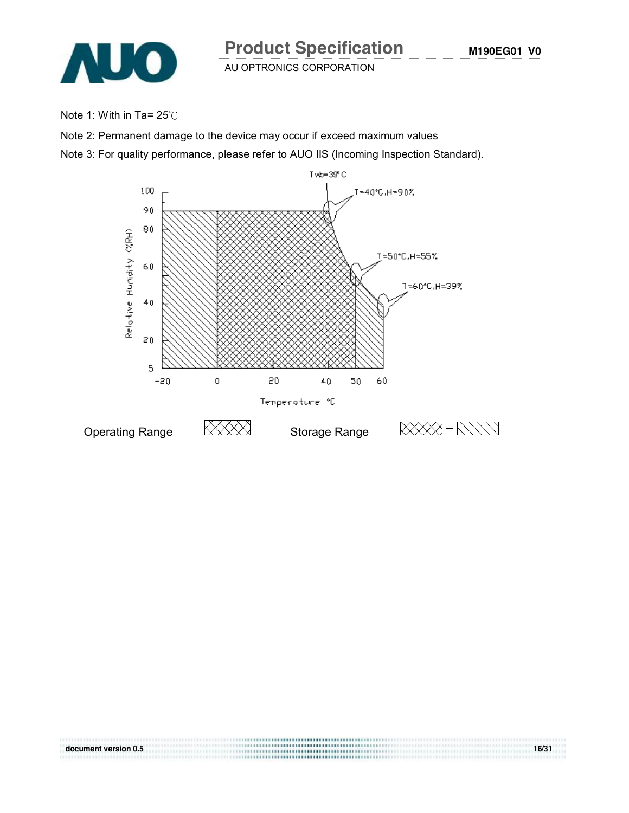

Note 1: With in Ta= 25℃

Note 2: Permanent damage to the device may occur if exceed maximum values

Note 3: For quality performance, please refer to AUO IIS (Incoming Inspection Standard).



**document version 0.5 16/31**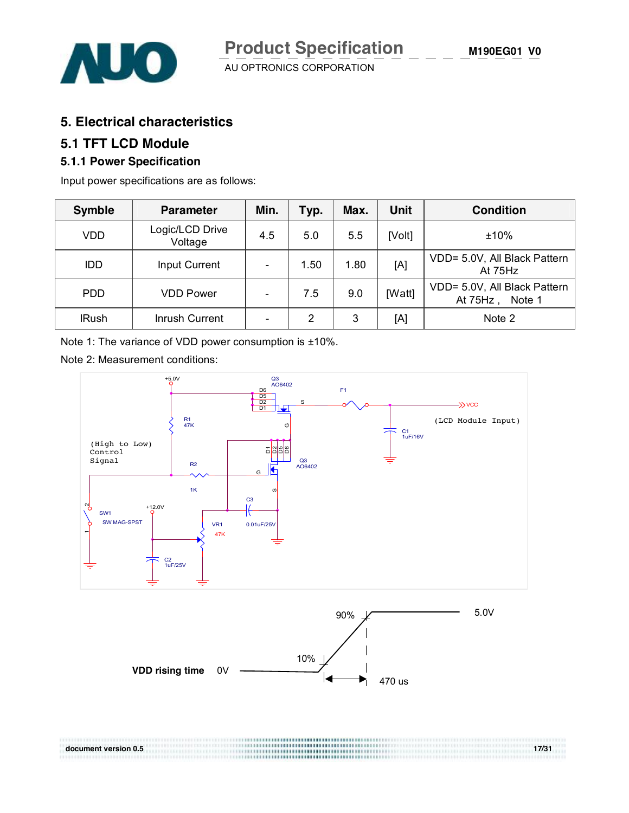

#### **5. Electrical characteristics**

#### **5.1 TFT LCD Module**

#### **5.1.1 Power Specification**

Input power specifications are as follows:

| <b>Symble</b> | <b>Parameter</b>           | Min.                     | Typ. | Max. | <b>Unit</b> | <b>Condition</b>                                      |
|---------------|----------------------------|--------------------------|------|------|-------------|-------------------------------------------------------|
| VDD           | Logic/LCD Drive<br>Voltage | 4.5                      | 5.0  | 5.5  | [Volt]      | ±10%                                                  |
| <b>IDD</b>    | <b>Input Current</b>       | $\overline{\phantom{a}}$ | 1.50 | 1.80 | [A]         | VDD= 5.0V, All Black Pattern<br>At 75Hz               |
| <b>PDD</b>    | <b>VDD Power</b>           | $\overline{a}$           | 7.5  | 9.0  | [Watt]      | VDD= 5.0V, All Black Pattern<br>Note 1<br>At $75Hz$ , |
| <b>IRush</b>  | Inrush Current             | $\overline{\phantom{a}}$ | 2    | 3    | [A]         | Note 2                                                |

Note 1: The variance of VDD power consumption is ±10%.

Note 2: Measurement conditions:

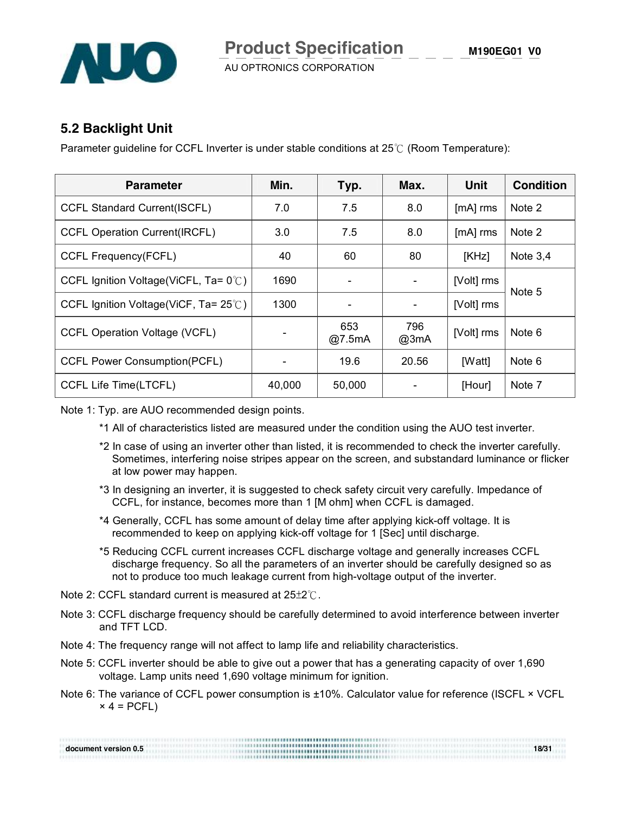

**M190EG01 V0**

AU OPTRONICS CORPORATION

#### **5.2 Backlight Unit**

Parameter guideline for CCFL Inverter is under stable conditions at 25℃ (Room Temperature):

| <b>Parameter</b>                                | Min.   | Typ.                     | Max.        | Unit       | <b>Condition</b> |
|-------------------------------------------------|--------|--------------------------|-------------|------------|------------------|
| <b>CCFL Standard Current(ISCFL)</b>             | 7.0    | 7.5                      | 8.0         | $[mA]$ rms | Note 2           |
| <b>CCFL Operation Current(IRCFL)</b>            | 3.0    | 7.5                      | 8.0         | $[mA]$ rms | Note 2           |
| <b>CCFL Frequency(FCFL)</b>                     | 40     | 60                       | 80          | [KHz]      | Note $3,4$       |
| CCFL Ignition Voltage(ViCFL, Ta= $0^{\circ}$ C) | 1690   | $\blacksquare$           |             | [Volt] rms | Note 5           |
| CCFL Ignition Voltage(ViCF, Ta= $25^{\circ}$ C) | 1300   | $\overline{\phantom{0}}$ |             | [Volt] rms |                  |
| <b>CCFL Operation Voltage (VCFL)</b>            |        | 653<br>@7.5mA            | 796<br>@3mA | [Volt] rms | Note 6           |
| <b>CCFL Power Consumption(PCFL)</b>             |        | 19.6                     | 20.56       | [Watt]     | Note 6           |
| CCFL Life Time(LTCFL)                           | 40,000 | 50,000                   |             | [Hour]     | Note 7           |

Note 1: Typ. are AUO recommended design points.

- \*1 All of characteristics listed are measured under the condition using the AUO test inverter.
- \*2 In case of using an inverter other than listed, it is recommended to check the inverter carefully. Sometimes, interfering noise stripes appear on the screen, and substandard luminance or flicker at low power may happen.
- \*3 In designing an inverter, it is suggested to check safety circuit very carefully. Impedance of CCFL, for instance, becomes more than 1 [M ohm] when CCFL is damaged.
- \*4 Generally, CCFL has some amount of delay time after applying kick-off voltage. It is recommended to keep on applying kick-off voltage for 1 [Sec] until discharge.
- \*5 Reducing CCFL current increases CCFL discharge voltage and generally increases CCFL discharge frequency. So all the parameters of an inverter should be carefully designed so as not to produce too much leakage current from high-voltage output of the inverter.
- Note 2: CCFL standard current is measured at 25±2℃.
- Note 3: CCFL discharge frequency should be carefully determined to avoid interference between inverter and TFT LCD.
- Note 4: The frequency range will not affect to lamp life and reliability characteristics.
- Note 5: CCFL inverter should be able to give out a power that has a generating capacity of over 1,690 voltage. Lamp units need 1,690 voltage minimum for ignition.
- Note 6: The variance of CCFL power consumption is ±10%. Calculator value for reference (ISCFL × VCFL  $\times$  4 = PCFL)

| document version 0.5 | 18/31 |
|----------------------|-------|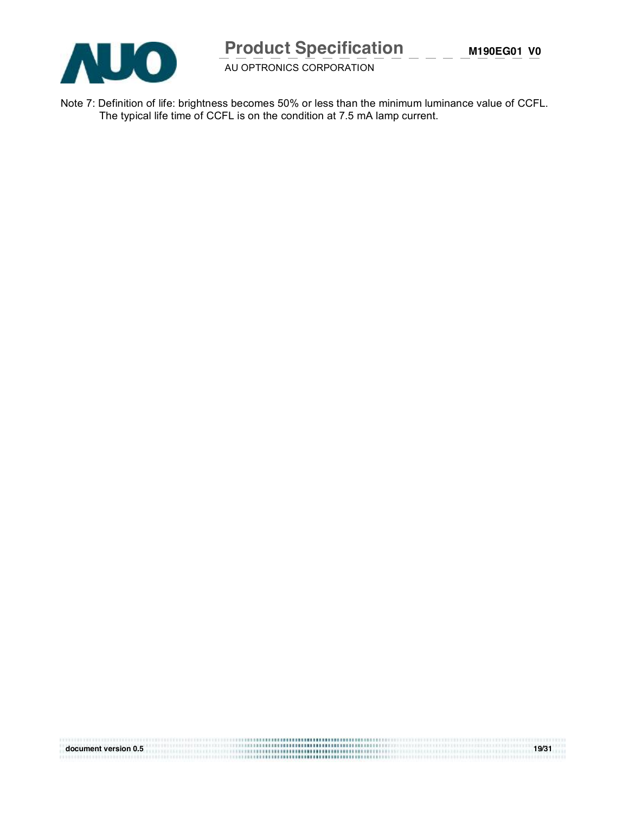

# **Product Specification**

AU OPTRONICS CORPORATION

Note 7: Definition of life: brightness becomes 50% or less than the minimum luminance value of CCFL. The typical life time of CCFL is on the condition at 7.5 mA lamp current.

| document version 0.5 | 19/31 |
|----------------------|-------|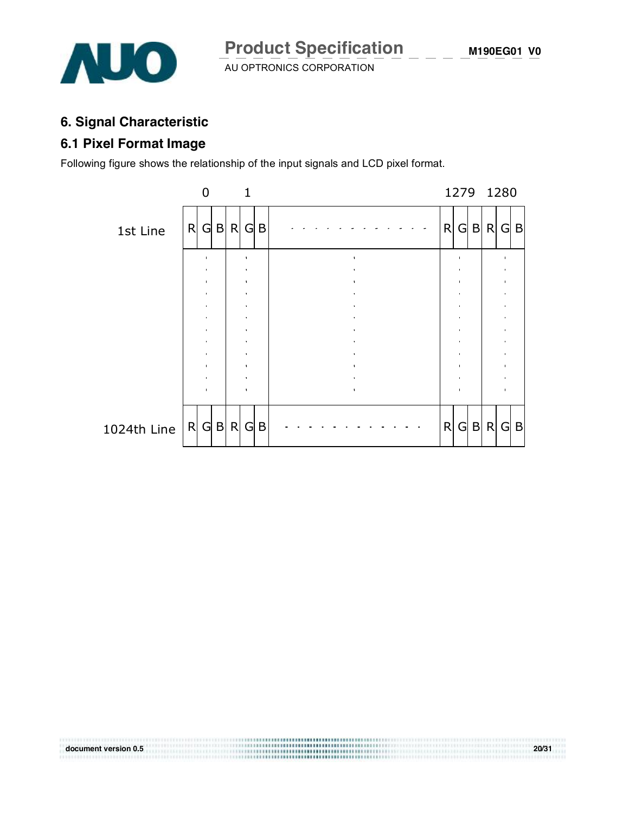

## **6. Signal Characteristic**

## **6.1 Pixel Format Image**

Following figure shows the relationship of the input signals and LCD pixel format.



**document version 0.5 20/31**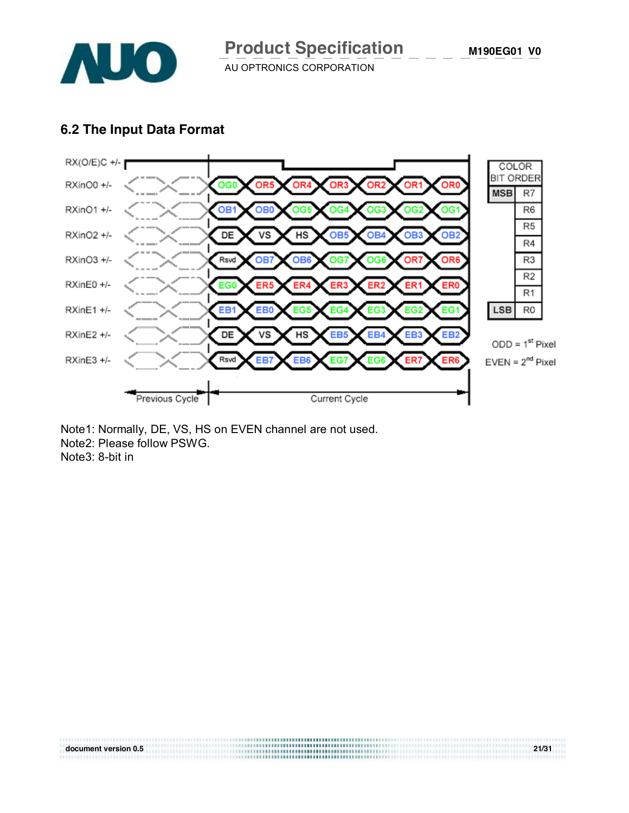

#### **6.2 The Input Data Format**



Note1: Normally, DE, VS, HS on EVEN channel are not used. Note2: Please follow PSWG. Note3: 8-bit in

**document version 0.5 21/31**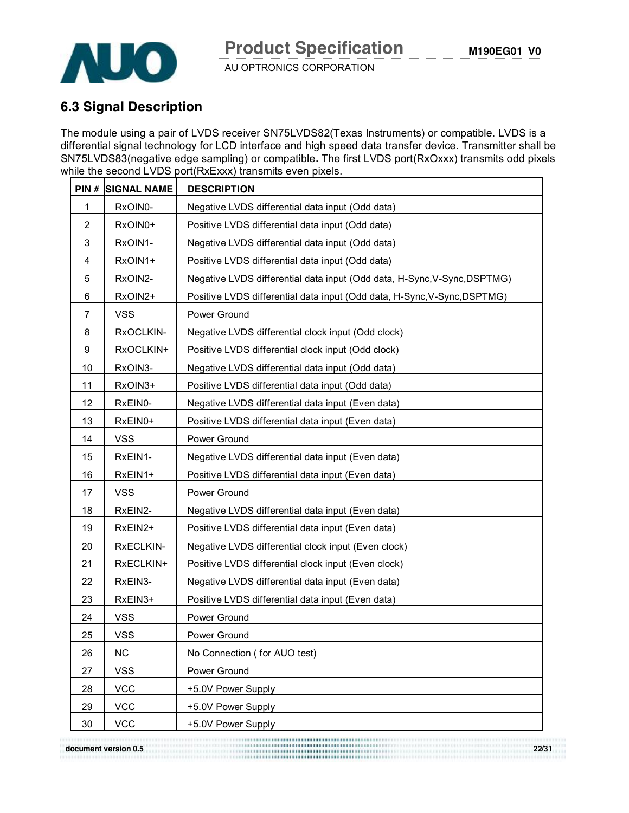

## **6.3 Signal Description**

The module using a pair of LVDS receiver SN75LVDS82(Texas Instruments) or compatible. LVDS is a differential signal technology for LCD interface and high speed data transfer device. Transmitter shall be SN75LVDS83(negative edge sampling) or compatible**.** The first LVDS port(RxOxxx) transmits odd pixels while the second LVDS port(RxExxx) transmits even pixels.

| PIN#           | <b>SIGNAL NAME</b> | <b>DESCRIPTION</b>                                                       |
|----------------|--------------------|--------------------------------------------------------------------------|
| 1              | RxOIN0-            | Negative LVDS differential data input (Odd data)                         |
| 2              | RxOIN0+            | Positive LVDS differential data input (Odd data)                         |
| 3              | RxOIN1-            | Negative LVDS differential data input (Odd data)                         |
| 4              | RxOIN1+            | Positive LVDS differential data input (Odd data)                         |
| 5              | RxOIN2-            | Negative LVDS differential data input (Odd data, H-Sync, V-Sync, DSPTMG) |
| 6              | RxOIN2+            | Positive LVDS differential data input (Odd data, H-Sync, V-Sync, DSPTMG) |
| $\overline{7}$ | <b>VSS</b>         | Power Ground                                                             |
| 8              | RxOCLKIN-          | Negative LVDS differential clock input (Odd clock)                       |
| 9              | RxOCLKIN+          | Positive LVDS differential clock input (Odd clock)                       |
| 10             | RxOIN3-            | Negative LVDS differential data input (Odd data)                         |
| 11             | RxOIN3+            | Positive LVDS differential data input (Odd data)                         |
| 12             | RxEIN0-            | Negative LVDS differential data input (Even data)                        |
| 13             | RxEIN0+            | Positive LVDS differential data input (Even data)                        |
| 14             | <b>VSS</b>         | Power Ground                                                             |
| 15             | RxEIN1-            | Negative LVDS differential data input (Even data)                        |
| 16             | RxEIN1+            | Positive LVDS differential data input (Even data)                        |
| 17             | <b>VSS</b>         | Power Ground                                                             |
| 18             | RxEIN2-            | Negative LVDS differential data input (Even data)                        |
| 19             | RxEIN2+            | Positive LVDS differential data input (Even data)                        |
| 20             | RxECLKIN-          | Negative LVDS differential clock input (Even clock)                      |
| 21             | RxECLKIN+          | Positive LVDS differential clock input (Even clock)                      |
| 22             | RxEIN3-            | Negative LVDS differential data input (Even data)                        |
| 23             | RxEIN3+            | Positive LVDS differential data input (Even data)                        |
| 24             | <b>VSS</b>         | Power Ground                                                             |
| 25             | <b>VSS</b>         | Power Ground                                                             |
| 26             | <b>NC</b>          | No Connection (for AUO test)                                             |
| 27             | <b>VSS</b>         | Power Ground                                                             |
| 28             | <b>VCC</b>         | +5.0V Power Supply                                                       |
| 29             | <b>VCC</b>         | +5.0V Power Supply                                                       |
| 30             | <b>VCC</b>         | +5.0V Power Supply                                                       |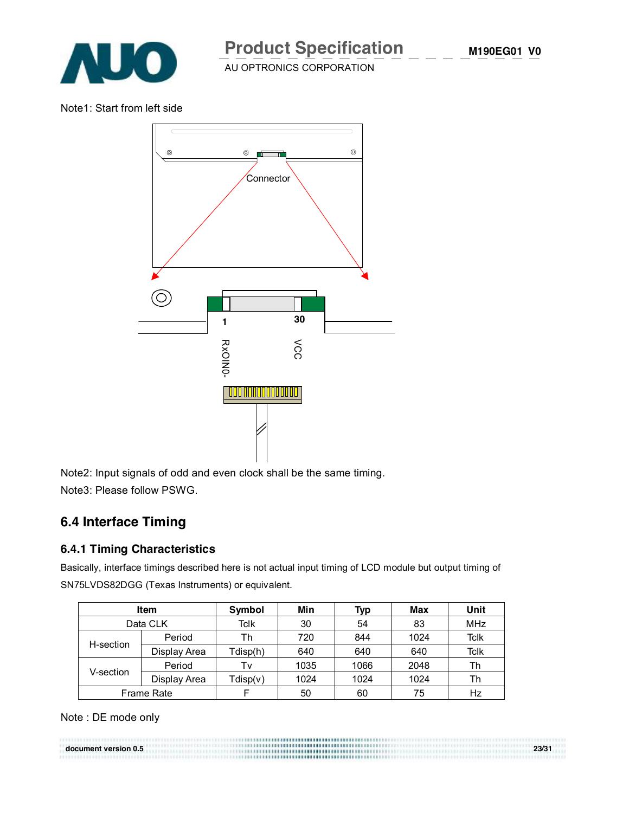

Note1: Start from left side



Note2: Input signals of odd and even clock shall be the same timing. Note3: Please follow PSWG.

#### **6.4 Interface Timing**

#### **6.4.1 Timing Characteristics**

Basically, interface timings described here is not actual input timing of LCD module but output timing of SN75LVDS82DGG (Texas Instruments) or equivalent.

| <b>Item</b> |                   | Symbol   | Min  | Typ  | Max  | Unit        |
|-------------|-------------------|----------|------|------|------|-------------|
| Data CLK    |                   | Tclk     | 30   | 54   | 83   | <b>MHz</b>  |
|             | Period            | Th       | 720  | 844  | 1024 | <b>Tclk</b> |
| H-section   | Display Area      | Tdisp(h) | 640  | 640  | 640  | <b>Tclk</b> |
|             | Period            | Tv       | 1035 | 1066 | 2048 | Th          |
| V-section   | Display Area      | Tdisp(v) | 1024 | 1024 | 1024 | Th          |
|             | <b>Frame Rate</b> |          | 50   | 60   | 75   | Hz          |

Note : DE mode only

**document version 0.5 23/31**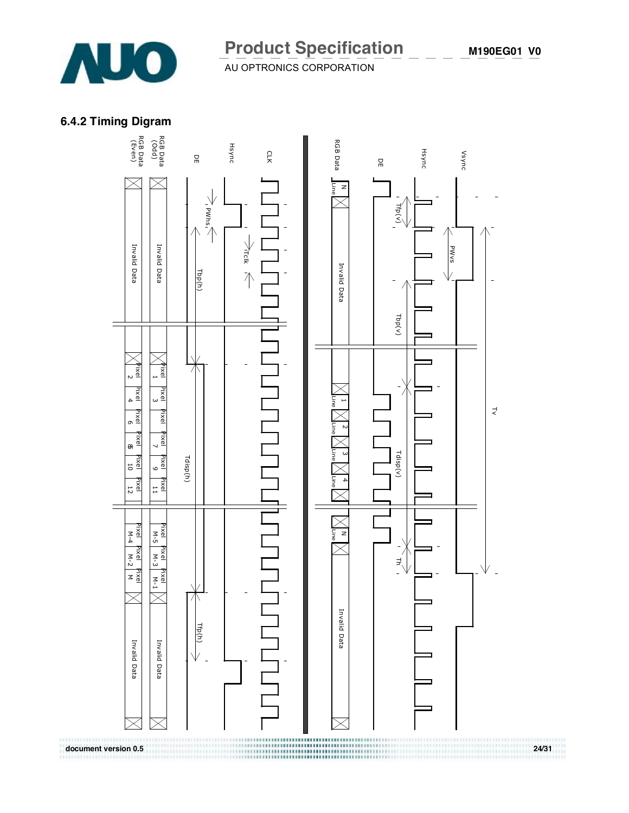

# **Product Specification**

 $A = 2$   $A = 3$   $A = 3$   $A = 1$ 

## **6.4.2 Timing Digram**

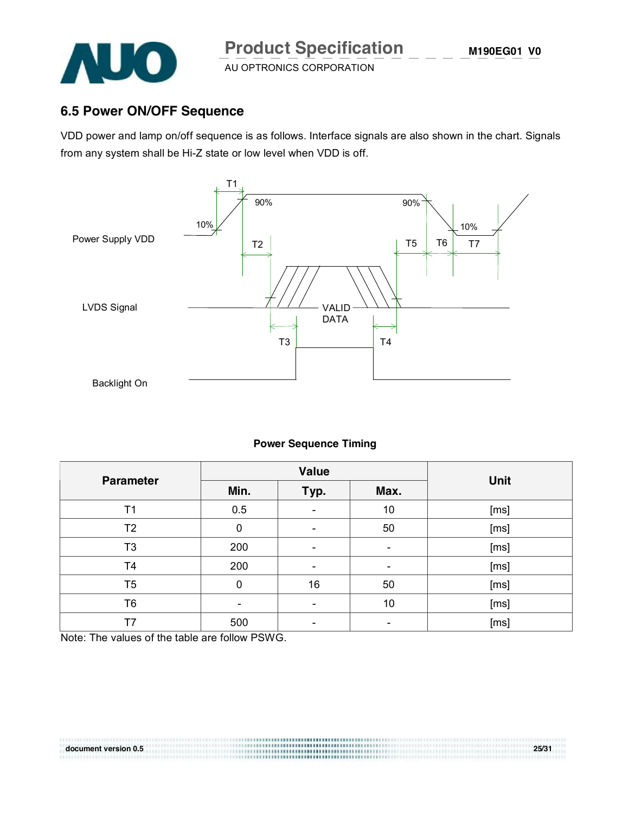

## **6.5 Power ON/OFF Sequence**

VDD power and lamp on/off sequence is as follows. Interface signals are also shown in the chart. Signals from any system shall be Hi-Z state or low level when VDD is off.



#### **Power Sequence Timing**

| <b>Parameter</b> |                          | Value                    | <b>Unit</b>    |      |
|------------------|--------------------------|--------------------------|----------------|------|
|                  | Min.                     | Typ.                     | Max.           |      |
| T <sub>1</sub>   | 0.5                      |                          | 10             | [ms] |
| T <sub>2</sub>   | 0                        |                          | 50             | [ms] |
| T <sub>3</sub>   | 200                      | $\overline{\phantom{0}}$ | $\blacksquare$ | [ms] |
| T4               | 200                      |                          |                | [ms] |
| T <sub>5</sub>   | 0                        | 16                       | 50             | [ms] |
| T6               | $\overline{\phantom{0}}$ |                          | 10             | [ms] |
| T7               | 500                      |                          |                | [ms] |

**document version 0.5 25/31** 

Note: The values of the table are follow PSWG.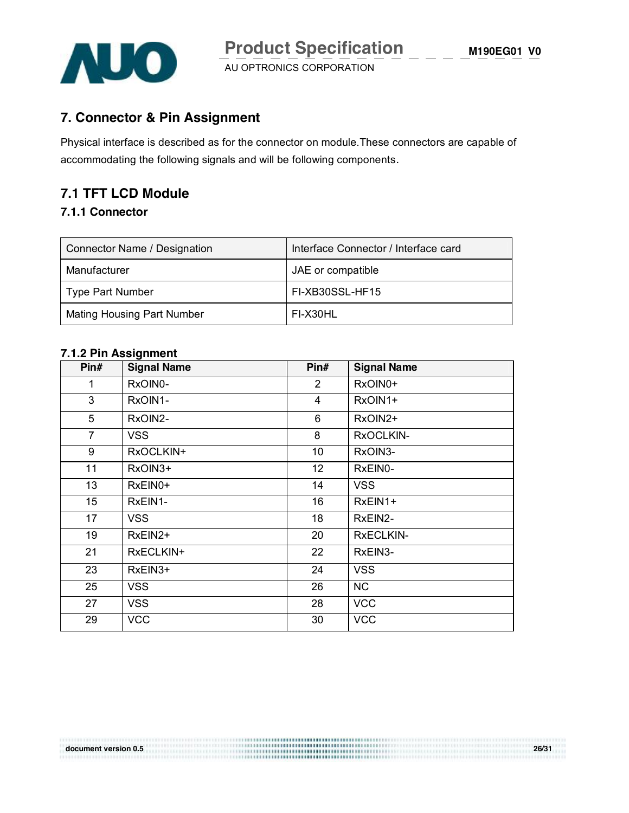

#### **7. Connector & Pin Assignment**

Physical interface is described as for the connector on module.These connectors are capable of accommodating the following signals and will be following components.

## **7.1 TFT LCD Module**

#### **7.1.1 Connector**

| Connector Name / Designation      | Interface Connector / Interface card |
|-----------------------------------|--------------------------------------|
| Manufacturer                      | JAE or compatible                    |
| Type Part Number                  | FI-XB30SSL-HF15                      |
| <b>Mating Housing Part Number</b> | FI-X30HL                             |

#### **7.1.2 Pin Assignment**

| Pin#           | <b>Signal Name</b> | Pin#           | <b>Signal Name</b> |
|----------------|--------------------|----------------|--------------------|
| 1              | RxOIN0-            | $\overline{2}$ | RxOIN0+            |
| 3              | RxOIN1-            | $\overline{4}$ | RxOIN1+            |
| 5              | RxOIN2-            | 6              | RxOIN2+            |
| $\overline{7}$ | <b>VSS</b>         | 8              | RxOCLKIN-          |
| 9              | RxOCLKIN+          | 10             | RxOIN3-            |
| 11             | RxOIN3+            | 12             | RxEIN0-            |
| 13             | RxEIN0+            | 14             | <b>VSS</b>         |
| 15             | RxEIN1-            | 16             | RxEIN1+            |
| 17             | <b>VSS</b>         | 18             | RxEIN2-            |
| 19             | RxEIN2+            | 20             | <b>RXECLKIN-</b>   |
| 21             | RxECLKIN+          | 22             | RxEIN3-            |
| 23             | RxEIN3+            | 24             | <b>VSS</b>         |
| 25             | <b>VSS</b>         | 26             | <b>NC</b>          |
| 27             | <b>VSS</b>         | 28             | <b>VCC</b>         |
| 29             | <b>VCC</b>         | 30             | <b>VCC</b>         |

**document version 0.5 26/31**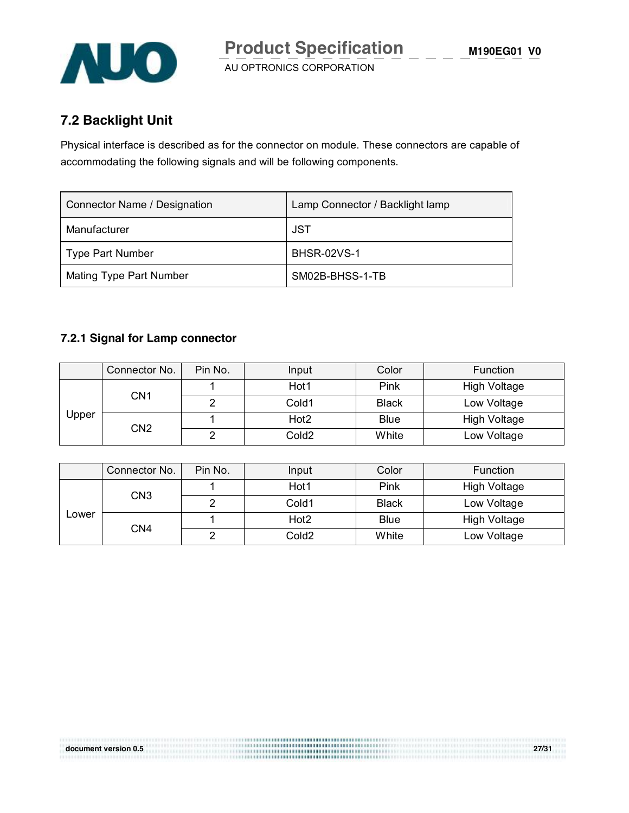

## **7.2 Backlight Unit**

Physical interface is described as for the connector on module. These connectors are capable of accommodating the following signals and will be following components.

| Connector Name / Designation | Lamp Connector / Backlight lamp |
|------------------------------|---------------------------------|
| Manufacturer                 | JST                             |
| <b>Type Part Number</b>      | <b>BHSR-02VS-1</b>              |
| Mating Type Part Number      | SM02B-BHSS-1-TB                 |

#### **7.2.1 Signal for Lamp connector**

|          | Connector No.   | Pin No. | Input             | Color               | <b>Function</b> |
|----------|-----------------|---------|-------------------|---------------------|-----------------|
|          |                 | Hot1    | Pink              | <b>High Voltage</b> |                 |
|          | CN1             |         | Cold1             | <b>Black</b>        | Low Voltage     |
| $J$ pper |                 |         | Hot <sub>2</sub>  | <b>Blue</b>         | High Voltage    |
|          | CN <sub>2</sub> |         | Cold <sub>2</sub> | White               | Low Voltage     |

|                     | Connector No. | Pin No. | Input             | Color               | Function    |
|---------------------|---------------|---------|-------------------|---------------------|-------------|
| CN3<br>Lower<br>CN4 |               | Hot1    | Pink              | High Voltage        |             |
|                     |               |         | Cold1             | <b>Black</b>        | Low Voltage |
|                     |               | Hot2    | <b>Blue</b>       | <b>High Voltage</b> |             |
|                     |               |         | Cold <sub>2</sub> | White               | Low Voltage |

**document version 0.5 27/31**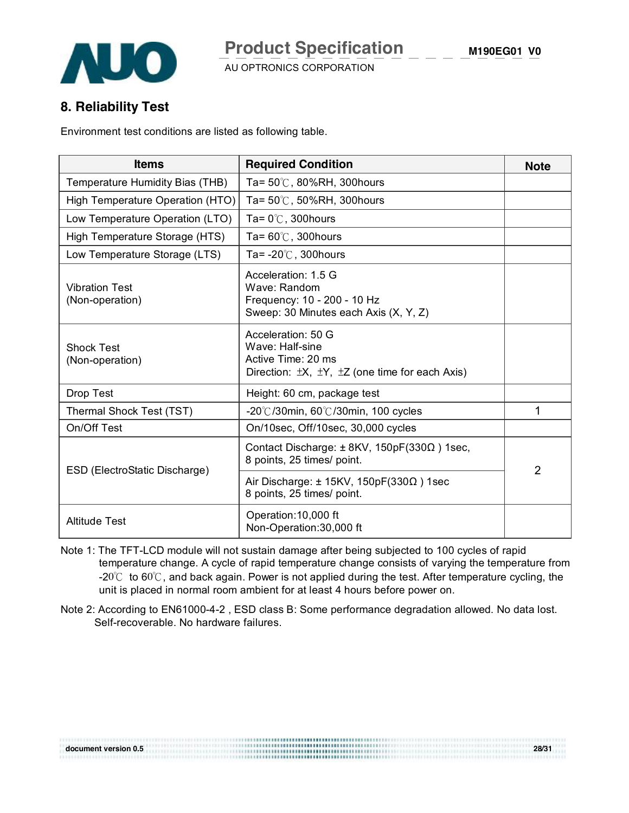



#### **8. Reliability Test**

Environment test conditions are listed as following table.

| <b>Items</b>                             | <b>Required Condition</b>                                                                                                      | <b>Note</b>    |
|------------------------------------------|--------------------------------------------------------------------------------------------------------------------------------|----------------|
| Temperature Humidity Bias (THB)          | Ta= 50℃, 80%RH, 300hours                                                                                                       |                |
| High Temperature Operation (HTO)         | Ta= 50℃, 50%RH, 300hours                                                                                                       |                |
| Low Temperature Operation (LTO)          | Ta= $0^{\circ}$ C, 300 hours                                                                                                   |                |
| High Temperature Storage (HTS)           | Ta= $60^{\circ}$ C, 300 hours                                                                                                  |                |
| Low Temperature Storage (LTS)            | Ta= $-20^{\circ}$ C, 300 hours                                                                                                 |                |
| <b>Vibration Test</b><br>(Non-operation) | Acceleration: 1.5 G<br>Wave: Random<br>Frequency: 10 - 200 - 10 Hz<br>Sweep: 30 Minutes each Axis (X, Y, Z)                    |                |
| <b>Shock Test</b><br>(Non-operation)     | Acceleration: 50 G<br>Wave: Half-sine<br>Active Time: 20 ms<br>Direction: $\pm X$ , $\pm Y$ , $\pm Z$ (one time for each Axis) |                |
| Drop Test                                | Height: 60 cm, package test                                                                                                    |                |
| Thermal Shock Test (TST)                 | $-20^{\circ}$ C/30min, 60 $^{\circ}$ C/30min, 100 cycles                                                                       | 1              |
| On/Off Test                              | On/10sec, Off/10sec, 30,000 cycles                                                                                             |                |
| ESD (ElectroStatic Discharge)            | Contact Discharge: $\pm$ 8KV, 150pF(330 $\Omega$ ) 1sec,<br>8 points, 25 times/ point.                                         | $\overline{2}$ |
|                                          | Air Discharge: $\pm$ 15KV, 150pF(330 $\Omega$ ) 1sec<br>8 points, 25 times/ point.                                             |                |
| <b>Altitude Test</b>                     | Operation: 10,000 ft<br>Non-Operation:30,000 ft                                                                                |                |

Note 1: The TFT-LCD module will not sustain damage after being subjected to 100 cycles of rapid temperature change. A cycle of rapid temperature change consists of varying the temperature from -20℃ to 60℃, and back again. Power is not applied during the test. After temperature cycling, the unit is placed in normal room ambient for at least 4 hours before power on.

Note 2: According to EN61000-4-2 , ESD class B: Some performance degradation allowed. No data lost. Self-recoverable. No hardware failures.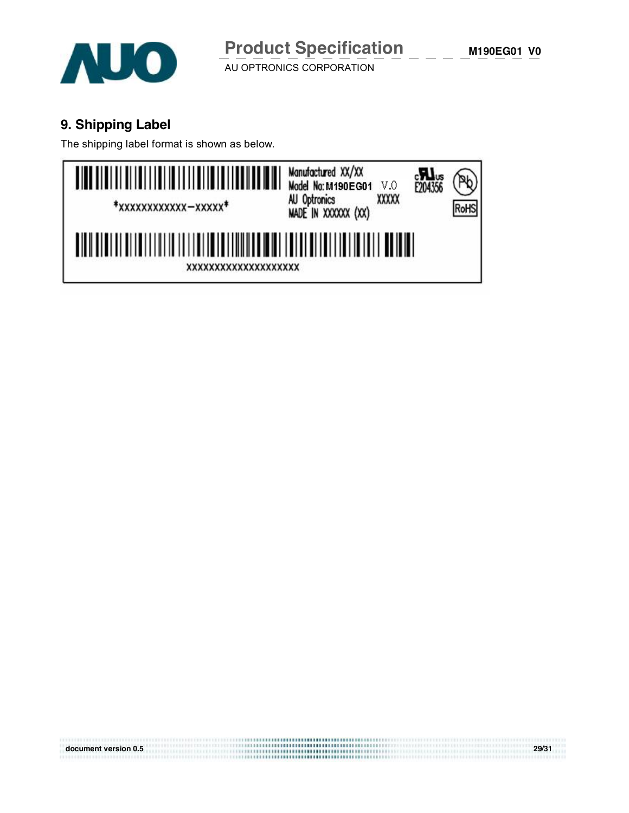

## **9. Shipping Label**

The shipping label format is shown as below.



**document version 0.5 29/31**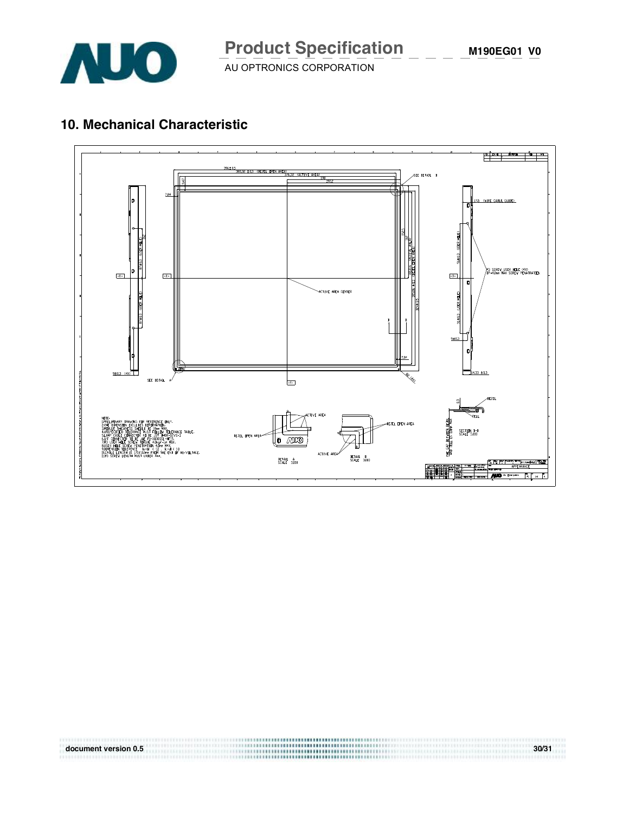

## **10. Mechanical Characteristic**



**document version 0.5** 30/31